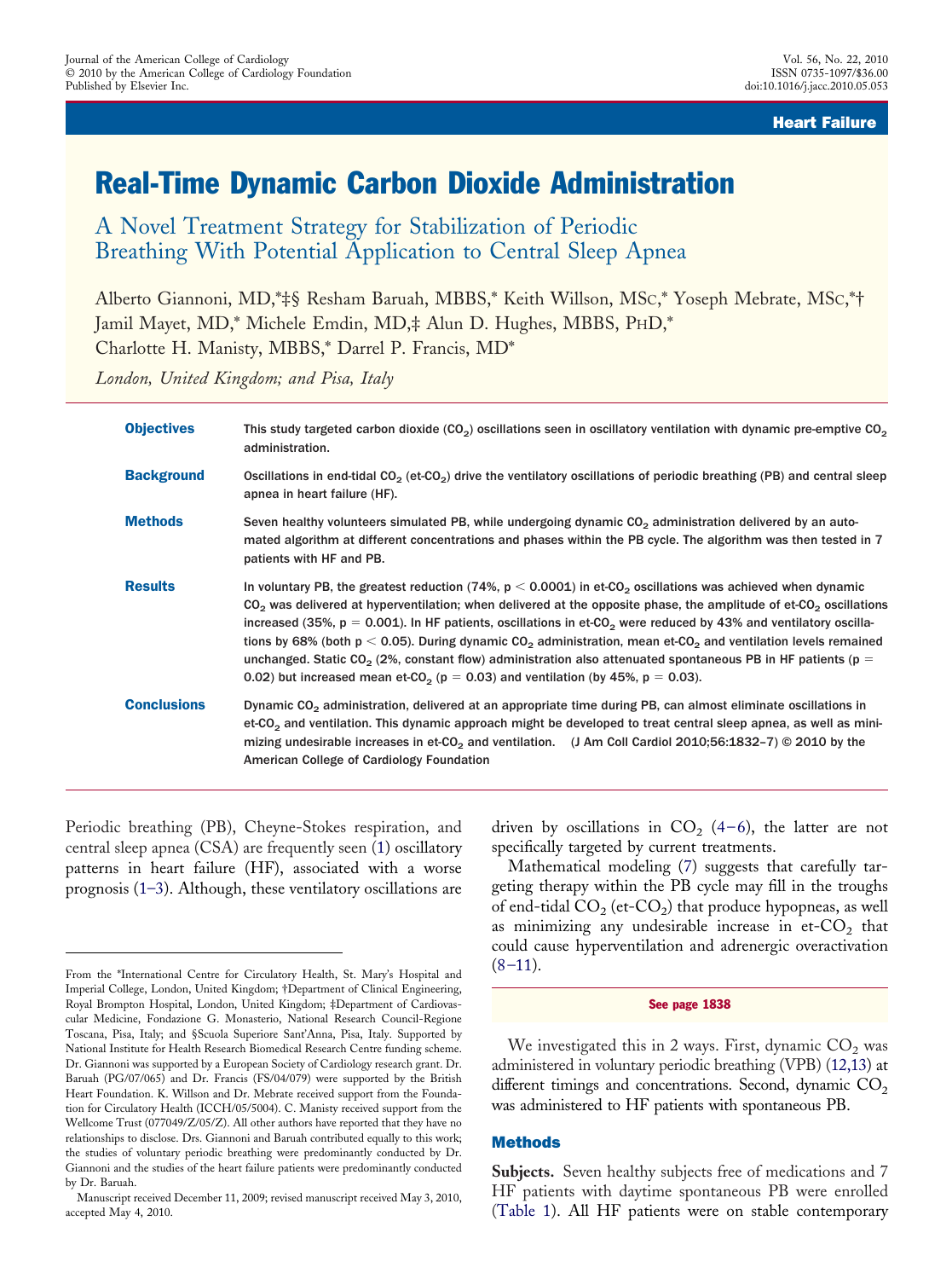## Heart Failure

# Real-Time Dynamic Carbon Dioxide Administration

A Novel Treatment Strategy for Stabilization of Periodic Breathing With Potential Application to Central Sleep Apnea

Alberto Giannoni, MD,\*‡§ Resham Baruah, MBBS,\* Keith Willson, MSC,\* Yoseph Mebrate, MSC,\*† Jamil Mayet, MD,\* Michele Emdin, MD,‡ Alun D. Hughes, MBBS, PHD,\* Charlotte H. Manisty, MBBS,\* Darrel P. Francis, MD\*

*London, United Kingdom; and Pisa, Italy*

| <b>Objectives</b>  | This study targeted carbon dioxide ( $CO2$ ) oscillations seen in oscillatory ventilation with dynamic pre-emptive $CO2$<br>administration.                                                                                                                                                                                                                                                                                                                                                                                                                                                                                                                                                                                                                               |
|--------------------|---------------------------------------------------------------------------------------------------------------------------------------------------------------------------------------------------------------------------------------------------------------------------------------------------------------------------------------------------------------------------------------------------------------------------------------------------------------------------------------------------------------------------------------------------------------------------------------------------------------------------------------------------------------------------------------------------------------------------------------------------------------------------|
| <b>Background</b>  | Oscillations in end-tidal CO <sub>2</sub> (et-CO <sub>2</sub> ) drive the ventilatory oscillations of periodic breathing (PB) and central sleep<br>apnea in heart failure (HF).                                                                                                                                                                                                                                                                                                                                                                                                                                                                                                                                                                                           |
| <b>Methods</b>     | Seven healthy volunteers simulated PB, while undergoing dynamic CO <sub>2</sub> administration delivered by an auto-<br>mated algorithm at different concentrations and phases within the PB cycle. The algorithm was then tested in 7<br>patients with HF and PB.                                                                                                                                                                                                                                                                                                                                                                                                                                                                                                        |
| <b>Results</b>     | In voluntary PB, the greatest reduction (74%, $p < 0.0001$ ) in et-CO <sub>2</sub> oscillations was achieved when dynamic<br>$CO2$ was delivered at hyperventilation; when delivered at the opposite phase, the amplitude of et-CO <sub>2</sub> oscillations<br>increased (35%, $p = 0.001$ ). In HF patients, oscillations in et-CO <sub>2</sub> were reduced by 43% and ventilatory oscilla-<br>tions by 68% (both $p < 0.05$ ). During dynamic CO <sub>2</sub> administration, mean et-CO <sub>2</sub> and ventilation levels remained<br>unchanged. Static CO <sub>2</sub> (2%, constant flow) administration also attenuated spontaneous PB in HF patients (p =<br>0.02) but increased mean et-CO <sub>2</sub> ( $p = 0.03$ ) and ventilation (by 45%, $p = 0.03$ ). |
| <b>Conclusions</b> | Dynamic CO <sub>2</sub> administration, delivered at an appropriate time during PB, can almost eliminate oscillations in<br>et-CO <sub>2</sub> and ventilation. This dynamic approach might be developed to treat central sleep apnea, as well as mini-<br>mizing undesirable increases in et-CO <sub>2</sub> and ventilation. (J Am Coll Cardiol 2010;56:1832-7) © 2010 by the<br>American College of Cardiology Foundation                                                                                                                                                                                                                                                                                                                                              |

Periodic breathing (PB), Cheyne-Stokes respiration, and central sleep apnea (CSA) are frequently seen [\(1\)](#page-4-0) oscillatory patterns in heart failure (HF), associated with a worse prognosis [\(1–3\)](#page-4-0). Although, these ventilatory oscillations are

driven by oscillations in  $CO<sub>2</sub>$  [\(4–6\)](#page-5-0), the latter are not specifically targeted by current treatments.

Mathematical modeling [\(7\)](#page-5-0) suggests that carefully targeting therapy within the PB cycle may fill in the troughs of end-tidal  $CO_2$  (et- $CO_2$ ) that produce hypopneas, as well as minimizing any undesirable increase in  $et$ - $CO<sub>2</sub>$  that could cause hyperventilation and adrenergic overactivation  $(8-11)$ .

#### See page 1838

We investigated this in 2 ways. First, dynamic  $CO<sub>2</sub>$  was administered in voluntary periodic breathing (VPB) [\(12,13\)](#page-5-0) at different timings and concentrations. Second, dynamic  $CO<sub>2</sub>$ was administered to HF patients with spontaneous PB.

#### Methods

**Subjects.** Seven healthy subjects free of medications and 7 HF patients with daytime spontaneous PB were enrolled [\(Table 1\)](#page-1-0). All HF patients were on stable contemporary

From the \*International Centre for Circulatory Health, St. Mary's Hospital and Imperial College, London, United Kingdom; †Department of Clinical Engineering, Royal Brompton Hospital, London, United Kingdom; ‡Department of Cardiovascular Medicine, Fondazione G. Monasterio, National Research Council-Regione Toscana, Pisa, Italy; and §Scuola Superiore Sant'Anna, Pisa, Italy. Supported by National Institute for Health Research Biomedical Research Centre funding scheme. Dr. Giannoni was supported by a European Society of Cardiology research grant. Dr. Baruah (PG/07/065) and Dr. Francis (FS/04/079) were supported by the British Heart Foundation. K. Willson and Dr. Mebrate received support from the Foundation for Circulatory Health (ICCH/05/5004). C. Manisty received support from the Wellcome Trust (077049/Z/05/Z). All other authors have reported that they have no relationships to disclose. Drs. Giannoni and Baruah contributed equally to this work; the studies of voluntary periodic breathing were predominantly conducted by Dr. Giannoni and the studies of the heart failure patients were predominantly conducted by Dr. Baruah.

Manuscript received December 11, 2009; revised manuscript received May 3, 2010, accepted May 4, 2010.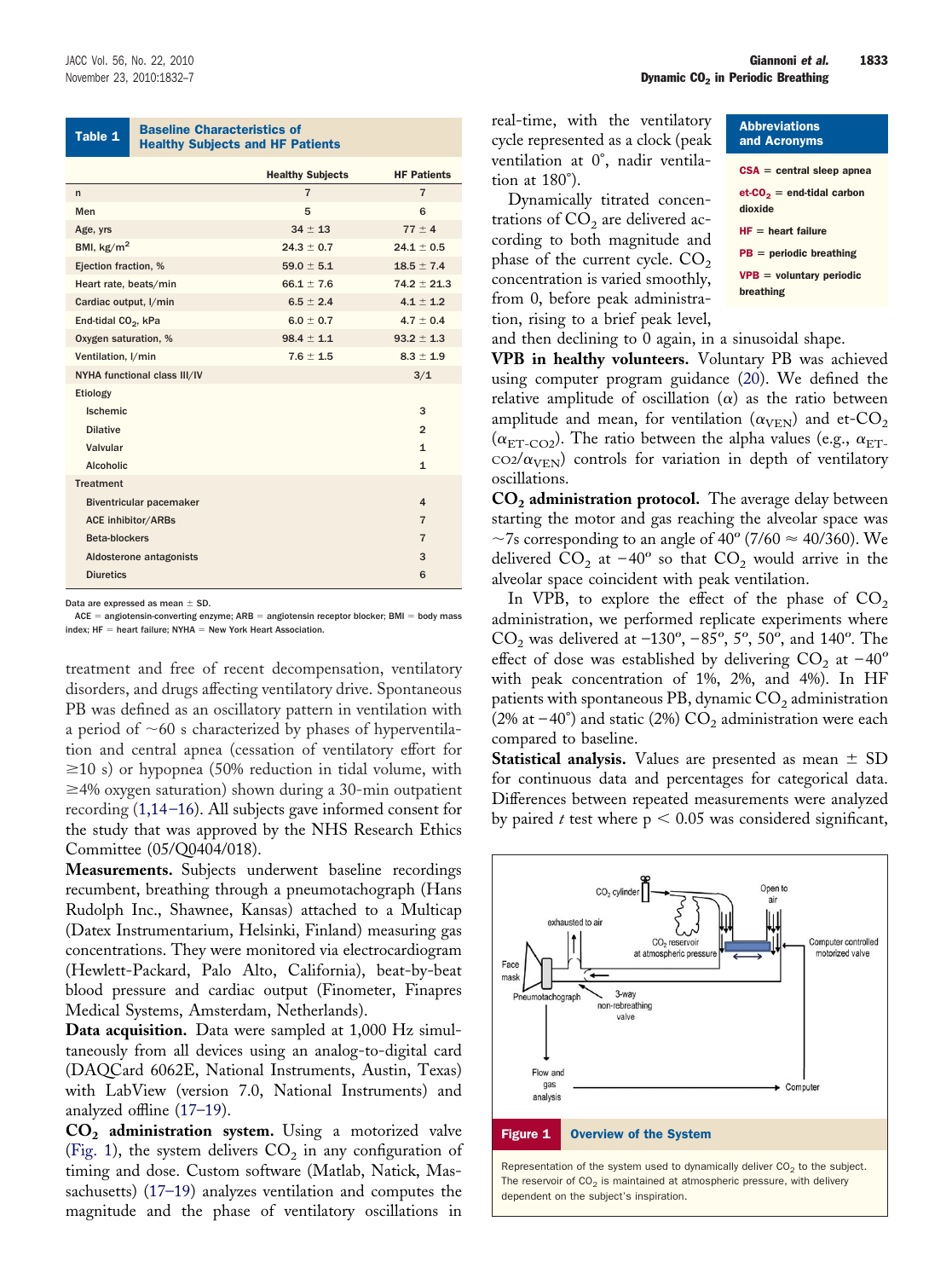<span id="page-1-0"></span>Table 1 **Baseline Characteristics of** Healthy Subjects and HF Patients Healthy Subjects and HF Patients

|                                 | <b>Healthy Subjects</b> | <b>HF Patients</b>      |  |  |  |
|---------------------------------|-------------------------|-------------------------|--|--|--|
| $\mathsf{n}$                    | $\overline{7}$          | $\overline{7}$          |  |  |  |
| Men                             | 5                       | 6                       |  |  |  |
| Age, yrs                        | $34 \pm 13$             | $77 \pm 4$              |  |  |  |
| BMI, $\text{kg/m}^2$            | $24.3 \pm 0.7$          | $24.1 \pm 0.5$          |  |  |  |
| Ejection fraction, %            | $59.0 \pm 5.1$          | $18.5 \pm 7.4$          |  |  |  |
| Heart rate, beats/min           | $66.1 \pm 7.6$          | $74.2 \pm 21.3$         |  |  |  |
| Cardiac output, I/min           | $6.5 \pm 2.4$           | $4.1 \pm 1.2$           |  |  |  |
| End-tidal CO <sub>2</sub> , kPa | $6.0 \pm 0.7$           | $4.7 \pm 0.4$           |  |  |  |
| Oxygen saturation, %            | $98.4 \pm 1.1$          | $93.2 \pm 1.3$          |  |  |  |
| Ventilation, I/min              | $7.6 \pm 1.5$           | $8.3 \pm 1.9$           |  |  |  |
| NYHA functional class III/IV    |                         | 3/1                     |  |  |  |
| Etiology                        |                         |                         |  |  |  |
| Ischemic                        |                         | 3                       |  |  |  |
| <b>Dilative</b>                 |                         | $\overline{2}$          |  |  |  |
| Valvular                        |                         | $\mathbf{1}$            |  |  |  |
| <b>Alcoholic</b>                |                         | $\mathbf{1}$            |  |  |  |
| <b>Treatment</b>                |                         |                         |  |  |  |
| <b>Biventricular pacemaker</b>  |                         | $\overline{\mathbf{A}}$ |  |  |  |
| <b>ACE inhibitor/ARBs</b>       |                         | $\overline{7}$          |  |  |  |
| Beta-blockers                   |                         | $\overline{7}$          |  |  |  |
| Aldosterone antagonists         |                         | 3                       |  |  |  |
| <b>Diuretics</b>                |                         | 6                       |  |  |  |
|                                 |                         |                         |  |  |  |

Data are expressed as mean  $\pm$  SD

ACE = angiotensin-converting enzyme; ARB = angiotensin receptor blocker; BMI = body mass  $index; HF = heart failure; NYHA = New York Heart Association.$ 

treatment and free of recent decompensation, ventilatory disorders, and drugs affecting ventilatory drive. Spontaneous PB was defined as an oscillatory pattern in ventilation with a period of  $\sim 60$  s characterized by phases of hyperventilation and central apnea (cessation of ventilatory effort for  $\geq$ 10 s) or hypopnea (50% reduction in tidal volume, with  $\geq$ 4% oxygen saturation) shown during a 30-min outpatient recording [\(1,14–16\)](#page-4-0). All subjects gave informed consent for the study that was approved by the NHS Research Ethics Committee (05/Q0404/018).

**Measurements.** Subjects underwent baseline recordings recumbent, breathing through a pneumotachograph (Hans Rudolph Inc., Shawnee, Kansas) attached to a Multicap (Datex Instrumentarium, Helsinki, Finland) measuring gas concentrations. They were monitored via electrocardiogram (Hewlett-Packard, Palo Alto, California), beat-by-beat blood pressure and cardiac output (Finometer, Finapres Medical Systems, Amsterdam, Netherlands).

**Data acquisition.** Data were sampled at 1,000 Hz simultaneously from all devices using an analog-to-digital card (DAQCard 6062E, National Instruments, Austin, Texas) with LabView (version 7.0, National Instruments) and analyzed offline [\(17–19\)](#page-5-0).

**CO2 administration system.** Using a motorized valve (Fig. 1), the system delivers  $CO<sub>2</sub>$  in any configuration of timing and dose. Custom software (Matlab, Natick, Massachusetts) [\(17–19\)](#page-5-0) analyzes ventilation and computes the magnitude and the phase of ventilatory oscillations in

real-time, with the ventilatory cycle represented as a clock (peak ventilation at 0°, nadir ventilation at 180°).

Dynamically titrated concentrations of  $CO<sub>2</sub>$  are delivered according to both magnitude and phase of the current cycle.  $CO<sub>2</sub>$ concentration is varied smoothly, from 0, before peak administration, rising to a brief peak level,

| <b>Abbreviations</b><br>and Acronyms       |
|--------------------------------------------|
| $CSA =$ central sleep apnea                |
| $et$ - $CO2$ = end-tidal carbon<br>dioxide |
| $HF = heart failure$                       |
| $PB = periodic breathing$                  |
| $VPB =$ voluntary periodic<br>breathing    |
|                                            |

and then declining to 0 again, in a sinusoidal shape.

**VPB in healthy volunteers.** Voluntary PB was achieved using computer program guidance [\(20\)](#page-5-0). We defined the relative amplitude of oscillation ( $\alpha$ ) as the ratio between amplitude and mean, for ventilation ( $\alpha_{\mathrm{VEN}}$ ) and et-CO<sub>2</sub> ( $\alpha_{\rm ET-CO2}$ ). The ratio between the alpha values (e.g.,  $\alpha_{\rm ET-}$  $\cos(\alpha_{\rm VEN})$  controls for variation in depth of ventilatory oscillations.

**CO2 administration protocol.** The average delay between starting the motor and gas reaching the alveolar space was ~7s corresponding to an angle of 40 $^{\circ}$  (7/60  $\approx$  40/360). We delivered  $CO_2$  at  $-40^{\circ}$  so that  $CO_2$  would arrive in the alveolar space coincident with peak ventilation.

In VPB, to explore the effect of the phase of  $CO<sub>2</sub>$ administration, we performed replicate experiments where  $CO<sub>2</sub>$  was delivered at –130<sup>o</sup>, –85<sup>o</sup>, 5<sup>o</sup>, 50<sup>o</sup>, and 140<sup>o</sup>. The effect of dose was established by delivering  $CO_2$  at  $-40^{\circ}$ with peak concentration of 1%, 2%, and 4%). In HF patients with spontaneous PB, dynamic  $CO<sub>2</sub>$  administration (2% at  $-40^{\circ}$ ) and static (2%)  $CO_2$  administration were each compared to baseline.

**Statistical analysis.** Values are presented as mean  $\pm$  SD for continuous data and percentages for categorical data. Differences between repeated measurements were analyzed by paired  $t$  test where  $p < 0.05$  was considered significant,

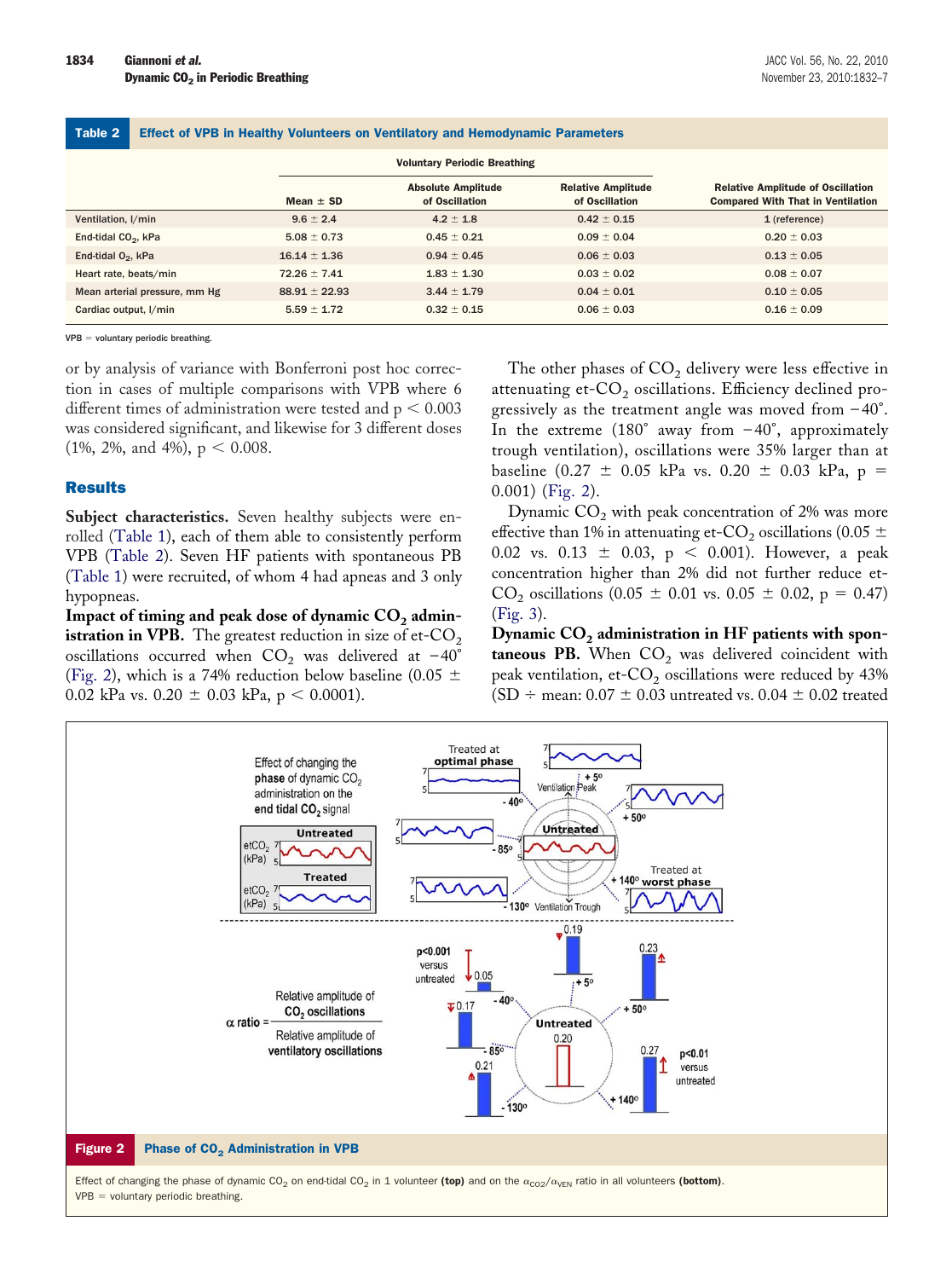Table 2 Effect of VPB in Healthy Volunteers on Ventilatory and Hemodynamic Parameters

|                                 |                   | <b>Voluntary Periodic Breathing</b>         |                                             |                                                                                      |
|---------------------------------|-------------------|---------------------------------------------|---------------------------------------------|--------------------------------------------------------------------------------------|
|                                 | Mean $\pm$ SD     | <b>Absolute Amplitude</b><br>of Oscillation | <b>Relative Amplitude</b><br>of Oscillation | <b>Relative Amplitude of Oscillation</b><br><b>Compared With That in Ventilation</b> |
| Ventilation, I/min              | $9.6 \pm 2.4$     | $4.2 \pm 1.8$                               | $0.42 \pm 0.15$                             | $1$ (reference)                                                                      |
| End-tidal CO <sub>2</sub> , kPa | $5.08 \pm 0.73$   | $0.45 \pm 0.21$                             | $0.09 \pm 0.04$                             | $0.20 \pm 0.03$                                                                      |
| End-tidal $O_2$ , kPa           | $16.14 \pm 1.36$  | $0.94 \pm 0.45$                             | $0.06 \pm 0.03$                             | $0.13 \pm 0.05$                                                                      |
| Heart rate, beats/min           | $72.26 \pm 7.41$  | $1.83 \pm 1.30$                             | $0.03 \pm 0.02$                             | $0.08 \pm 0.07$                                                                      |
| Mean arterial pressure, mm Hg   | $88.91 \pm 22.93$ | $3.44 \pm 1.79$                             | $0.04 \pm 0.01$                             | $0.10 \pm 0.05$                                                                      |
| Cardiac output, I/min           | $5.59 \pm 1.72$   | $0.32 \pm 0.15$                             | $0.06 \pm 0.03$                             | $0.16 \pm 0.09$                                                                      |

 $VPB =$  voluntary periodic breathing.

or by analysis of variance with Bonferroni post hoc correction in cases of multiple comparisons with VPB where 6 different times of administration were tested and  $p < 0.003$ was considered significant, and likewise for 3 different doses  $(1\%, 2\%, \text{ and } 4\%), p < 0.008.$ 

### **Results**

Subject characteristics. Seven healthy subjects were enrolled [\(Table 1\)](#page-1-0), each of them able to consistently perform VPB (Table 2). Seven HF patients with spontaneous PB [\(Table 1\)](#page-1-0) were recruited, of whom 4 had apneas and 3 only hypopneas.

Impact of timing and peak dose of dynamic CO<sub>2</sub> admin**istration in VPB.** The greatest reduction in size of et- $CO<sub>2</sub>$ oscillations occurred when  $CO<sub>2</sub>$  was delivered at -40° (Fig. 2), which is a 74% reduction below baseline (0.05  $\pm$ 0.02 kPa vs. 0.20  $\pm$  0.03 kPa, p < 0.0001).

The other phases of  $CO<sub>2</sub>$  delivery were less effective in attenuating et- $CO<sub>2</sub>$  oscillations. Efficiency declined progressively as the treatment angle was moved from  $-40^{\circ}$ . In the extreme  $(180^{\circ}$  away from  $-40^{\circ}$ , approximately trough ventilation), oscillations were 35% larger than at baseline (0.27  $\pm$  0.05 kPa vs. 0.20  $\pm$  0.03 kPa, p = 0.001) (Fig. 2).

Dynamic  $CO<sub>2</sub>$  with peak concentration of 2% was more effective than 1% in attenuating et-CO<sub>2</sub> oscillations (0.05  $\pm$ 0.02 vs. 0.13  $\pm$  0.03, p < 0.001). However, a peak concentration higher than 2% did not further reduce et- $CO_2$  oscillations (0.05  $\pm$  0.01 vs. 0.05  $\pm$  0.02, p = 0.47) [\(Fig. 3\)](#page-3-0).

Dynamic CO<sub>2</sub> administration in HF patients with spon**taneous PB.** When  $CO<sub>2</sub>$  was delivered coincident with peak ventilation, et- $CO<sub>2</sub>$  oscillations were reduced by 43% (SD  $\div$  mean: 0.07  $\pm$  0.03 untreated vs. 0.04  $\pm$  0.02 treated

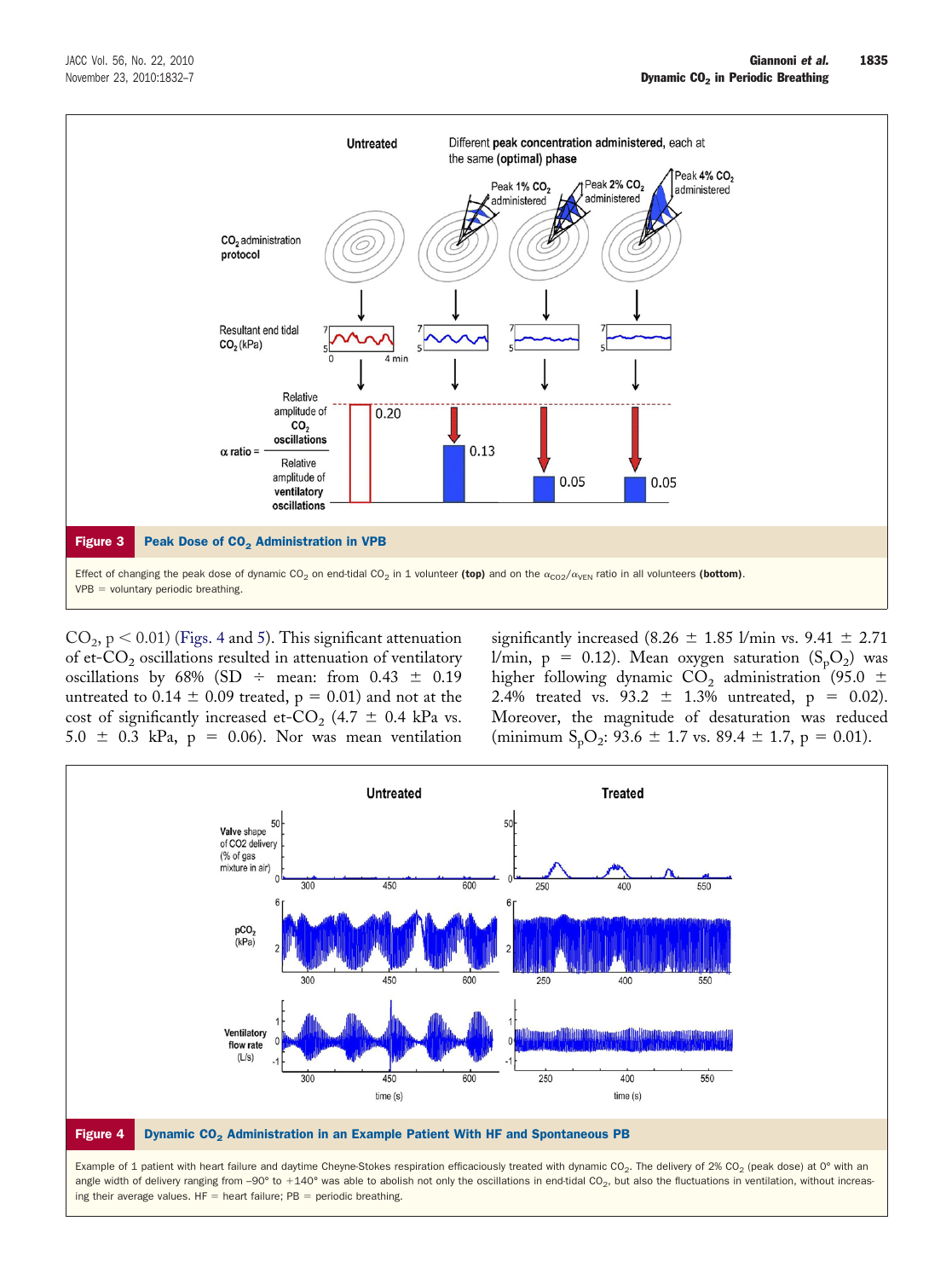<span id="page-3-0"></span>

 $CO<sub>2</sub>$ , p < 0.01) (Figs. 4 and [5\)](#page-4-0). This significant attenuation of et- $CO<sub>2</sub>$  oscillations resulted in attenuation of ventilatory oscillations by 68% (SD  $\div$  mean: from 0.43  $\pm$  0.19 untreated to 0.14  $\pm$  0.09 treated, p = 0.01) and not at the cost of significantly increased et-CO<sub>2</sub> (4.7  $\pm$  0.4 kPa vs.  $5.0 \pm 0.3$  kPa,  $p = 0.06$ ). Nor was mean ventilation

significantly increased (8.26  $\pm$  1.85 l/min vs. 9.41  $\pm$  2.71 l/min, p = 0.12). Mean oxygen saturation  $(\mathrm{S_pO_2})$  was higher following dynamic  $CO<sub>2</sub>$  administration (95.0  $\pm$ 2.4% treated vs. 93.2  $\pm$  1.3% untreated, p = 0.02). Moreover, the magnitude of desaturation was reduced (minimum  $S_pO_2$ : 93.6  $\pm$  1.7 vs. 89.4  $\pm$  1.7, p = 0.01).



angle width of delivery ranging from -90° to +140° was able to abolish not only the oscillations in end-tidal CO<sub>2</sub>, but also the fluctuations in ventilation, without increasing their average values.  $HF =$  heart failure;  $PB =$  periodic breathing.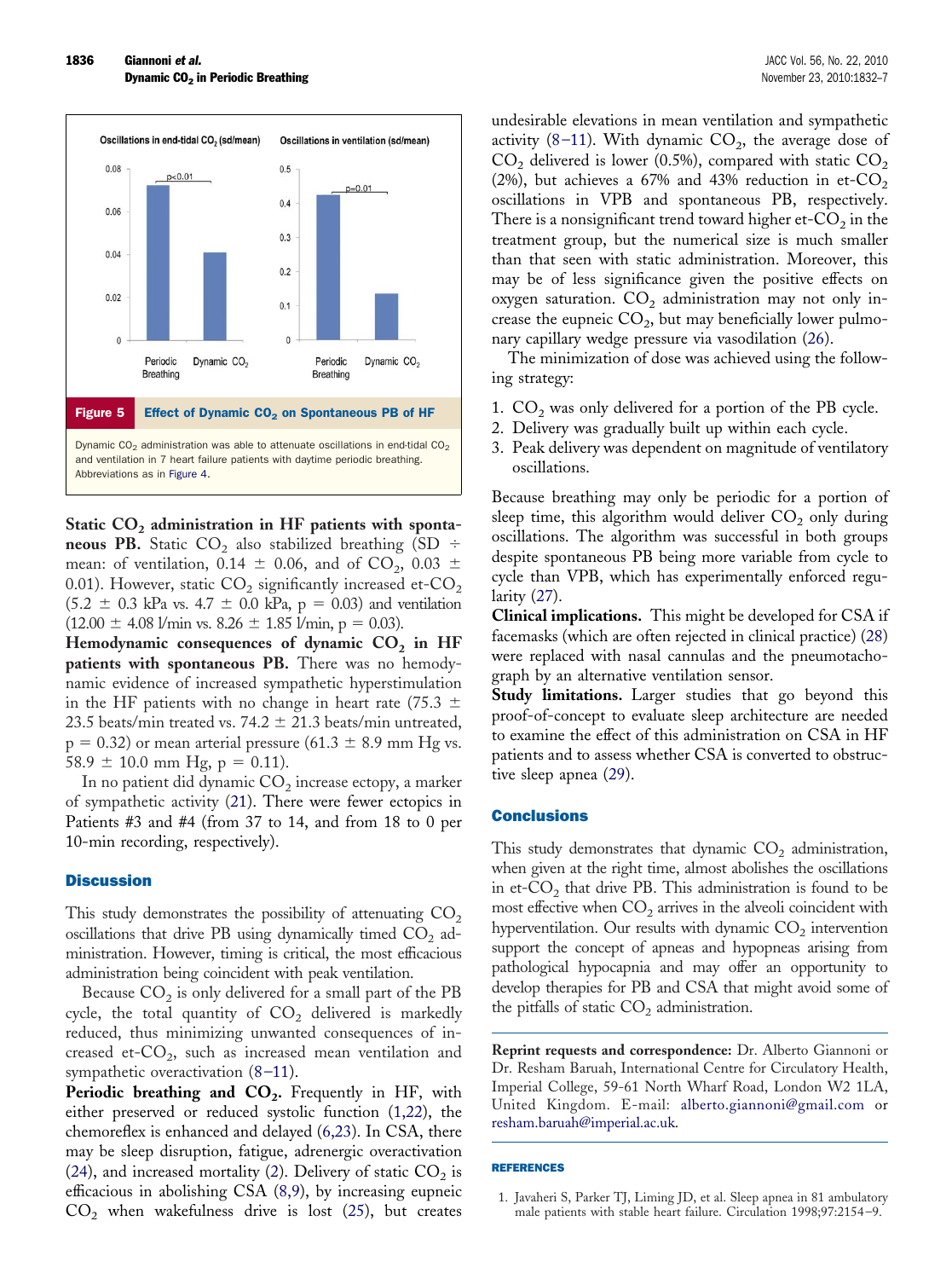<span id="page-4-0"></span>

Static CO<sub>2</sub> administration in HF patients with sponta**neous PB.** Static CO<sub>2</sub> also stabilized breathing (SD  $\div$ mean: of ventilation, 0.14  $\pm$  0.06, and of CO<sub>2</sub>, 0.03  $\pm$ 0.01). However, static  $CO<sub>2</sub>$  significantly increased et- $CO<sub>2</sub>$  $(5.2 \pm 0.3 \text{ kPa vs. } 4.7 \pm 0.0 \text{ kPa}, p = 0.03)$  and ventilation  $(12.00 \pm 4.08 \text{ V/min vs. } 8.26 \pm 1.85 \text{ V min}, p = 0.03).$ 

Hemodynamic consequences of dynamic CO<sub>2</sub> in HF **patients with spontaneous PB.** There was no hemodynamic evidence of increased sympathetic hyperstimulation in the HF patients with no change in heart rate (75.3  $\pm$ 23.5 beats/min treated vs.  $74.2 \pm 21.3$  beats/min untreated,  $p = 0.32$ ) or mean arterial pressure (61.3  $\pm$  8.9 mm Hg vs.  $58.9 \pm 10.0$  mm Hg, p = 0.11).

In no patient did dynamic CO<sub>2</sub> increase ectopy, a marker of sympathetic activity [\(21\)](#page-5-0). There were fewer ectopics in Patients #3 and #4 (from 37 to 14, and from 18 to 0 per 10-min recording, respectively).

### **Discussion**

This study demonstrates the possibility of attenuating  $CO<sub>2</sub>$ oscillations that drive PB using dynamically timed  $CO<sub>2</sub>$  administration. However, timing is critical, the most efficacious administration being coincident with peak ventilation.

Because  $CO<sub>2</sub>$  is only delivered for a small part of the PB cycle, the total quantity of  $CO<sub>2</sub>$  delivered is markedly reduced, thus minimizing unwanted consequences of increased et- $CO<sub>2</sub>$ , such as increased mean ventilation and sympathetic overactivation [\(8–11\)](#page-5-0).

**Periodic breathing and**  $CO<sub>2</sub>$ **.** Frequently in HF, with either preserved or reduced systolic function (1,22), the chemoreflex is enhanced and delayed [\(6,23\)](#page-5-0). In CSA, there may be sleep disruption, fatigue, adrenergic overactivation [\(24\)](#page-5-0), and increased mortality [\(2\)](#page-5-0). Delivery of static  $CO<sub>2</sub>$  is efficacious in abolishing CSA [\(8,9\)](#page-5-0), by increasing eupneic  $CO<sub>2</sub>$  when wakefulness drive is lost [\(25\)](#page-5-0), but creates undesirable elevations in mean ventilation and sympathetic activity [\(8–11\)](#page-5-0). With dynamic  $CO<sub>2</sub>$ , the average dose of  $CO<sub>2</sub>$  delivered is lower (0.5%), compared with static  $CO<sub>2</sub>$ (2%), but achieves a 67% and 43% reduction in et- $CO<sub>2</sub>$ oscillations in VPB and spontaneous PB, respectively. There is a nonsignificant trend toward higher et- $CO<sub>2</sub>$  in the treatment group, but the numerical size is much smaller than that seen with static administration. Moreover, this may be of less significance given the positive effects on oxygen saturation.  $CO<sub>2</sub>$  administration may not only increase the eupneic  $CO<sub>2</sub>$ , but may beneficially lower pulmonary capillary wedge pressure via vasodilation [\(26\)](#page-5-0).

The minimization of dose was achieved using the following strategy:

- 1.  $CO<sub>2</sub>$  was only delivered for a portion of the PB cycle.
- 2. Delivery was gradually built up within each cycle.
- 3. Peak delivery was dependent on magnitude of ventilatory oscillations.

Because breathing may only be periodic for a portion of sleep time, this algorithm would deliver  $CO<sub>2</sub>$  only during oscillations. The algorithm was successful in both groups despite spontaneous PB being more variable from cycle to cycle than VPB, which has experimentally enforced regularity [\(27\)](#page-5-0).

**Clinical implications.** This might be developed for CSA if facemasks (which are often rejected in clinical practice) [\(28\)](#page-5-0) were replaced with nasal cannulas and the pneumotachograph by an alternative ventilation sensor.

**Study limitations.** Larger studies that go beyond this proof-of-concept to evaluate sleep architecture are needed to examine the effect of this administration on CSA in HF patients and to assess whether CSA is converted to obstructive sleep apnea [\(29\)](#page-5-0).

## **Conclusions**

This study demonstrates that dynamic  $CO<sub>2</sub>$  administration, when given at the right time, almost abolishes the oscillations in et- $CO<sub>2</sub>$  that drive PB. This administration is found to be most effective when  $CO<sub>2</sub>$  arrives in the alveoli coincident with hyperventilation. Our results with dynamic  $CO<sub>2</sub>$  intervention support the concept of apneas and hypopneas arising from pathological hypocapnia and may offer an opportunity to develop therapies for PB and CSA that might avoid some of the pitfalls of static  $CO<sub>2</sub>$  administration.

**Reprint requests and correspondence:** Dr. Alberto Giannoni or Dr. Resham Baruah, International Centre for Circulatory Health, Imperial College, 59-61 North Wharf Road, London W2 1LA, United Kingdom. E-mail: [alberto.giannoni@gmail.com](mailto:alberto.giannoni@gmail.com) or [resham.baruah@imperial.ac.uk.](mailto:resham.baruah@imperial.ac.uk)

#### REFERENCES

1. Javaheri S, Parker TJ, Liming JD, et al. Sleep apnea in 81 ambulatory male patients with stable heart failure. Circulation 1998;97:2154–9.